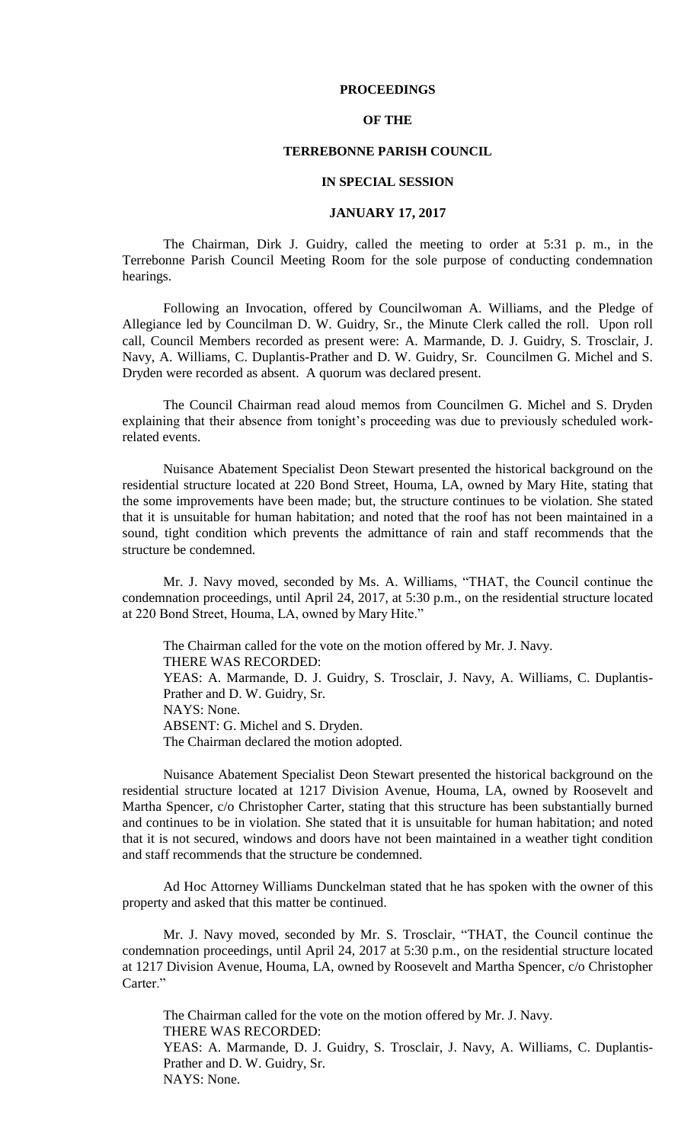### **PROCEEDINGS**

## **OF THE**

### **TERREBONNE PARISH COUNCIL**

#### **IN SPECIAL SESSION**

#### **JANUARY 17, 2017**

The Chairman, Dirk J. Guidry, called the meeting to order at 5:31 p. m., in the Terrebonne Parish Council Meeting Room for the sole purpose of conducting condemnation hearings.

Following an Invocation, offered by Councilwoman A. Williams, and the Pledge of Allegiance led by Councilman D. W. Guidry, Sr., the Minute Clerk called the roll. Upon roll call, Council Members recorded as present were: A. Marmande, D. J. Guidry, S. Trosclair, J. Navy, A. Williams, C. Duplantis-Prather and D. W. Guidry, Sr. Councilmen G. Michel and S. Dryden were recorded as absent. A quorum was declared present.

The Council Chairman read aloud memos from Councilmen G. Michel and S. Dryden explaining that their absence from tonight's proceeding was due to previously scheduled workrelated events.

Nuisance Abatement Specialist Deon Stewart presented the historical background on the residential structure located at 220 Bond Street, Houma, LA, owned by Mary Hite, stating that the some improvements have been made; but, the structure continues to be violation. She stated that it is unsuitable for human habitation; and noted that the roof has not been maintained in a sound, tight condition which prevents the admittance of rain and staff recommends that the structure be condemned.

Mr. J. Navy moved, seconded by Ms. A. Williams, "THAT, the Council continue the condemnation proceedings, until April 24, 2017, at 5:30 p.m., on the residential structure located at 220 Bond Street, Houma, LA, owned by Mary Hite."

The Chairman called for the vote on the motion offered by Mr. J. Navy. THERE WAS RECORDED: YEAS: A. Marmande, D. J. Guidry, S. Trosclair, J. Navy, A. Williams, C. Duplantis-Prather and D. W. Guidry, Sr. NAYS: None. ABSENT: G. Michel and S. Dryden. The Chairman declared the motion adopted.

Nuisance Abatement Specialist Deon Stewart presented the historical background on the residential structure located at 1217 Division Avenue, Houma, LA, owned by Roosevelt and Martha Spencer, c/o Christopher Carter, stating that this structure has been substantially burned and continues to be in violation. She stated that it is unsuitable for human habitation; and noted that it is not secured, windows and doors have not been maintained in a weather tight condition and staff recommends that the structure be condemned.

Ad Hoc Attorney Williams Dunckelman stated that he has spoken with the owner of this property and asked that this matter be continued.

Mr. J. Navy moved, seconded by Mr. S. Trosclair, "THAT, the Council continue the condemnation proceedings, until April 24, 2017 at 5:30 p.m., on the residential structure located at 1217 Division Avenue, Houma, LA, owned by Roosevelt and Martha Spencer, c/o Christopher Carter."

The Chairman called for the vote on the motion offered by Mr. J. Navy. THERE WAS RECORDED: YEAS: A. Marmande, D. J. Guidry, S. Trosclair, J. Navy, A. Williams, C. Duplantis-Prather and D. W. Guidry, Sr. NAYS: None.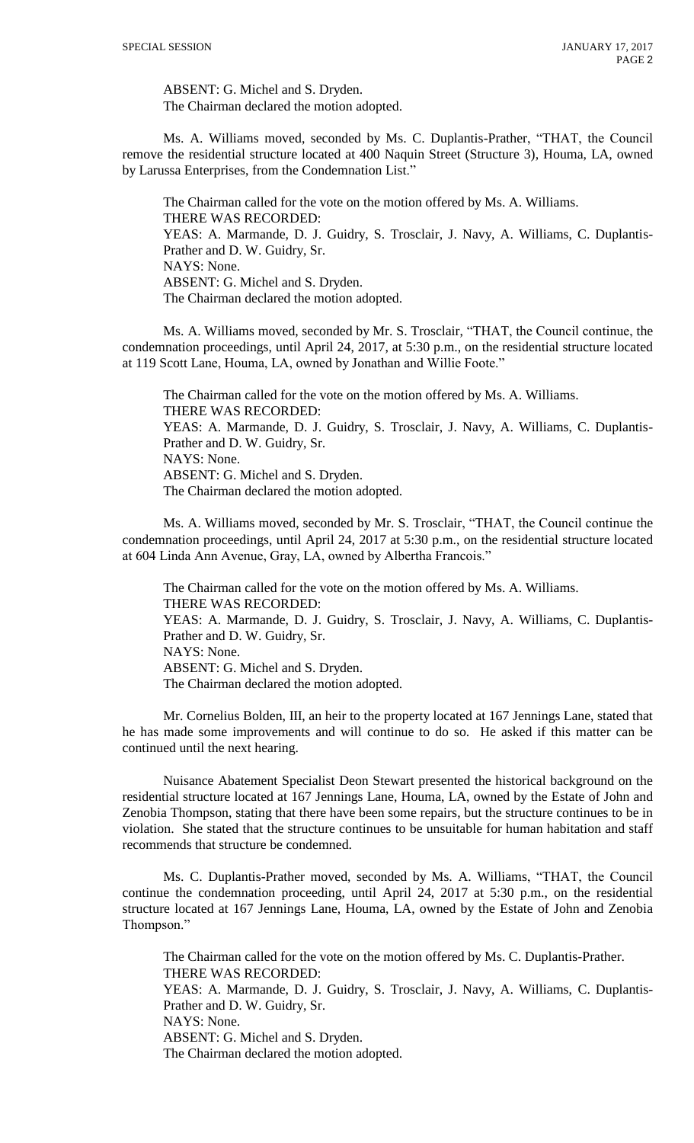ABSENT: G. Michel and S. Dryden. The Chairman declared the motion adopted.

Ms. A. Williams moved, seconded by Ms. C. Duplantis-Prather, "THAT, the Council remove the residential structure located at 400 Naquin Street (Structure 3), Houma, LA, owned by Larussa Enterprises, from the Condemnation List."

The Chairman called for the vote on the motion offered by Ms. A. Williams. THERE WAS RECORDED: YEAS: A. Marmande, D. J. Guidry, S. Trosclair, J. Navy, A. Williams, C. Duplantis-Prather and D. W. Guidry, Sr. NAYS: None. ABSENT: G. Michel and S. Dryden. The Chairman declared the motion adopted.

Ms. A. Williams moved, seconded by Mr. S. Trosclair, "THAT, the Council continue, the condemnation proceedings, until April 24, 2017, at 5:30 p.m., on the residential structure located at 119 Scott Lane, Houma, LA, owned by Jonathan and Willie Foote."

The Chairman called for the vote on the motion offered by Ms. A. Williams. THERE WAS RECORDED: YEAS: A. Marmande, D. J. Guidry, S. Trosclair, J. Navy, A. Williams, C. Duplantis-Prather and D. W. Guidry, Sr. NAYS: None. ABSENT: G. Michel and S. Dryden. The Chairman declared the motion adopted.

Ms. A. Williams moved, seconded by Mr. S. Trosclair, "THAT, the Council continue the condemnation proceedings, until April 24, 2017 at 5:30 p.m., on the residential structure located at 604 Linda Ann Avenue, Gray, LA, owned by Albertha Francois."

The Chairman called for the vote on the motion offered by Ms. A. Williams. THERE WAS RECORDED: YEAS: A. Marmande, D. J. Guidry, S. Trosclair, J. Navy, A. Williams, C. Duplantis-Prather and D. W. Guidry, Sr. NAYS: None. ABSENT: G. Michel and S. Dryden. The Chairman declared the motion adopted.

Mr. Cornelius Bolden, III, an heir to the property located at 167 Jennings Lane, stated that he has made some improvements and will continue to do so. He asked if this matter can be continued until the next hearing.

Nuisance Abatement Specialist Deon Stewart presented the historical background on the residential structure located at 167 Jennings Lane, Houma, LA, owned by the Estate of John and Zenobia Thompson, stating that there have been some repairs, but the structure continues to be in violation. She stated that the structure continues to be unsuitable for human habitation and staff recommends that structure be condemned.

Ms. C. Duplantis-Prather moved, seconded by Ms. A. Williams, "THAT, the Council continue the condemnation proceeding, until April 24, 2017 at 5:30 p.m., on the residential structure located at 167 Jennings Lane, Houma, LA, owned by the Estate of John and Zenobia Thompson."

The Chairman called for the vote on the motion offered by Ms. C. Duplantis-Prather. THERE WAS RECORDED: YEAS: A. Marmande, D. J. Guidry, S. Trosclair, J. Navy, A. Williams, C. Duplantis-Prather and D. W. Guidry, Sr. NAYS: None. ABSENT: G. Michel and S. Dryden. The Chairman declared the motion adopted.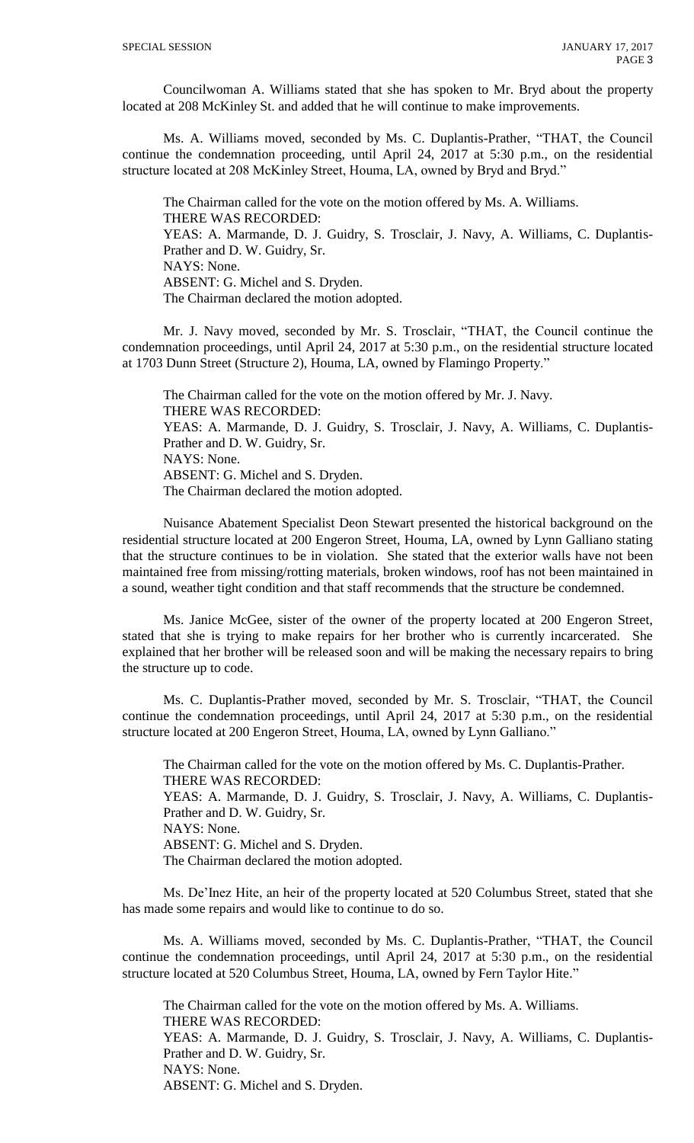Councilwoman A. Williams stated that she has spoken to Mr. Bryd about the property located at 208 McKinley St. and added that he will continue to make improvements.

Ms. A. Williams moved, seconded by Ms. C. Duplantis-Prather, "THAT, the Council continue the condemnation proceeding, until April 24, 2017 at 5:30 p.m., on the residential structure located at 208 McKinley Street, Houma, LA, owned by Bryd and Bryd."

The Chairman called for the vote on the motion offered by Ms. A. Williams. THERE WAS RECORDED: YEAS: A. Marmande, D. J. Guidry, S. Trosclair, J. Navy, A. Williams, C. Duplantis-Prather and D. W. Guidry, Sr. NAYS: None. ABSENT: G. Michel and S. Dryden. The Chairman declared the motion adopted.

Mr. J. Navy moved, seconded by Mr. S. Trosclair, "THAT, the Council continue the condemnation proceedings, until April 24, 2017 at 5:30 p.m., on the residential structure located at 1703 Dunn Street (Structure 2), Houma, LA, owned by Flamingo Property."

The Chairman called for the vote on the motion offered by Mr. J. Navy. THERE WAS RECORDED: YEAS: A. Marmande, D. J. Guidry, S. Trosclair, J. Navy, A. Williams, C. Duplantis-Prather and D. W. Guidry, Sr. NAYS: None. ABSENT: G. Michel and S. Dryden. The Chairman declared the motion adopted.

Nuisance Abatement Specialist Deon Stewart presented the historical background on the residential structure located at 200 Engeron Street, Houma, LA, owned by Lynn Galliano stating that the structure continues to be in violation. She stated that the exterior walls have not been maintained free from missing/rotting materials, broken windows, roof has not been maintained in a sound, weather tight condition and that staff recommends that the structure be condemned.

Ms. Janice McGee, sister of the owner of the property located at 200 Engeron Street, stated that she is trying to make repairs for her brother who is currently incarcerated. She explained that her brother will be released soon and will be making the necessary repairs to bring the structure up to code.

Ms. C. Duplantis-Prather moved, seconded by Mr. S. Trosclair, "THAT, the Council continue the condemnation proceedings, until April 24, 2017 at 5:30 p.m., on the residential structure located at 200 Engeron Street, Houma, LA, owned by Lynn Galliano."

The Chairman called for the vote on the motion offered by Ms. C. Duplantis-Prather. THERE WAS RECORDED: YEAS: A. Marmande, D. J. Guidry, S. Trosclair, J. Navy, A. Williams, C. Duplantis-Prather and D. W. Guidry, Sr. NAYS: None. ABSENT: G. Michel and S. Dryden. The Chairman declared the motion adopted.

Ms. De'Inez Hite, an heir of the property located at 520 Columbus Street, stated that she has made some repairs and would like to continue to do so.

Ms. A. Williams moved, seconded by Ms. C. Duplantis-Prather, "THAT, the Council continue the condemnation proceedings, until April 24, 2017 at 5:30 p.m., on the residential structure located at 520 Columbus Street, Houma, LA, owned by Fern Taylor Hite."

The Chairman called for the vote on the motion offered by Ms. A. Williams. THERE WAS RECORDED: YEAS: A. Marmande, D. J. Guidry, S. Trosclair, J. Navy, A. Williams, C. Duplantis-Prather and D. W. Guidry, Sr. NAYS: None. ABSENT: G. Michel and S. Dryden.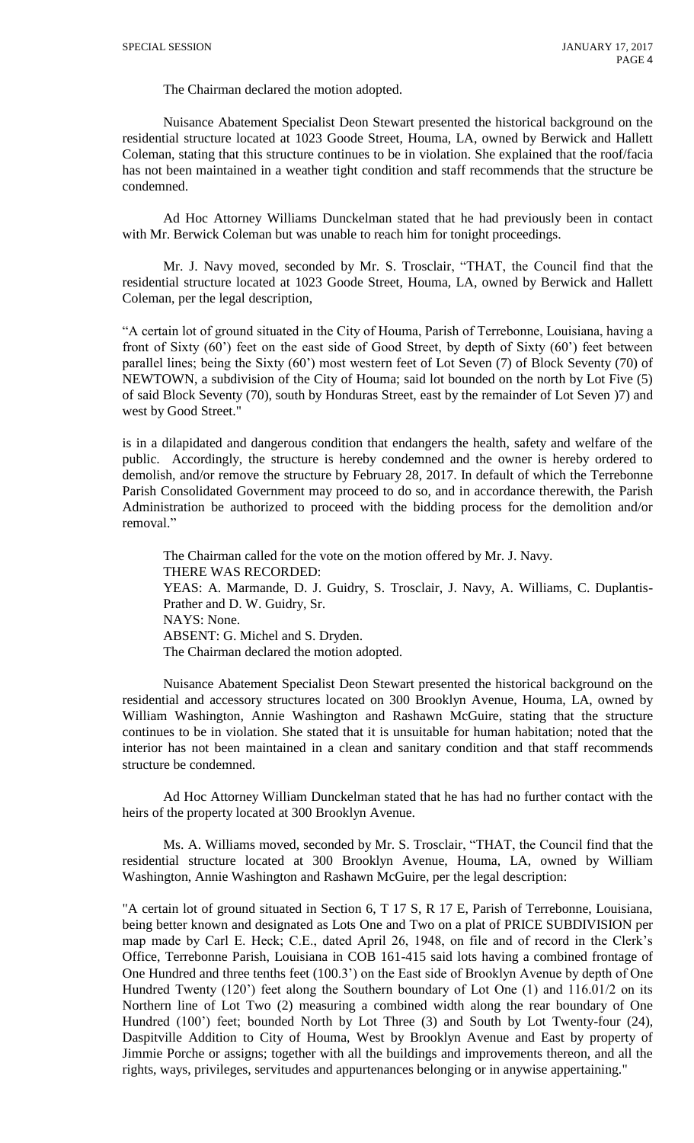The Chairman declared the motion adopted.

Nuisance Abatement Specialist Deon Stewart presented the historical background on the residential structure located at 1023 Goode Street, Houma, LA, owned by Berwick and Hallett Coleman, stating that this structure continues to be in violation. She explained that the roof/facia has not been maintained in a weather tight condition and staff recommends that the structure be condemned.

Ad Hoc Attorney Williams Dunckelman stated that he had previously been in contact with Mr. Berwick Coleman but was unable to reach him for tonight proceedings.

Mr. J. Navy moved, seconded by Mr. S. Trosclair, "THAT, the Council find that the residential structure located at 1023 Goode Street, Houma, LA, owned by Berwick and Hallett Coleman, per the legal description,

"A certain lot of ground situated in the City of Houma, Parish of Terrebonne, Louisiana, having a front of Sixty (60') feet on the east side of Good Street, by depth of Sixty (60') feet between parallel lines; being the Sixty (60') most western feet of Lot Seven (7) of Block Seventy (70) of NEWTOWN, a subdivision of the City of Houma; said lot bounded on the north by Lot Five (5) of said Block Seventy (70), south by Honduras Street, east by the remainder of Lot Seven )7) and west by Good Street."

is in a dilapidated and dangerous condition that endangers the health, safety and welfare of the public. Accordingly, the structure is hereby condemned and the owner is hereby ordered to demolish, and/or remove the structure by February 28, 2017. In default of which the Terrebonne Parish Consolidated Government may proceed to do so, and in accordance therewith, the Parish Administration be authorized to proceed with the bidding process for the demolition and/or removal."

The Chairman called for the vote on the motion offered by Mr. J. Navy. THERE WAS RECORDED: YEAS: A. Marmande, D. J. Guidry, S. Trosclair, J. Navy, A. Williams, C. Duplantis-Prather and D. W. Guidry, Sr. NAYS: None. ABSENT: G. Michel and S. Dryden. The Chairman declared the motion adopted.

Nuisance Abatement Specialist Deon Stewart presented the historical background on the residential and accessory structures located on 300 Brooklyn Avenue, Houma, LA, owned by William Washington, Annie Washington and Rashawn McGuire, stating that the structure continues to be in violation. She stated that it is unsuitable for human habitation; noted that the interior has not been maintained in a clean and sanitary condition and that staff recommends structure be condemned.

Ad Hoc Attorney William Dunckelman stated that he has had no further contact with the heirs of the property located at 300 Brooklyn Avenue.

Ms. A. Williams moved, seconded by Mr. S. Trosclair, "THAT, the Council find that the residential structure located at 300 Brooklyn Avenue, Houma, LA, owned by William Washington, Annie Washington and Rashawn McGuire, per the legal description:

"A certain lot of ground situated in Section 6, T 17 S, R 17 E, Parish of Terrebonne, Louisiana, being better known and designated as Lots One and Two on a plat of PRICE SUBDIVISION per map made by Carl E. Heck; C.E., dated April 26, 1948, on file and of record in the Clerk's Office, Terrebonne Parish, Louisiana in COB 161-415 said lots having a combined frontage of One Hundred and three tenths feet (100.3') on the East side of Brooklyn Avenue by depth of One Hundred Twenty (120') feet along the Southern boundary of Lot One (1) and 116.01/2 on its Northern line of Lot Two (2) measuring a combined width along the rear boundary of One Hundred (100') feet; bounded North by Lot Three (3) and South by Lot Twenty-four (24), Daspitville Addition to City of Houma, West by Brooklyn Avenue and East by property of Jimmie Porche or assigns; together with all the buildings and improvements thereon, and all the rights, ways, privileges, servitudes and appurtenances belonging or in anywise appertaining."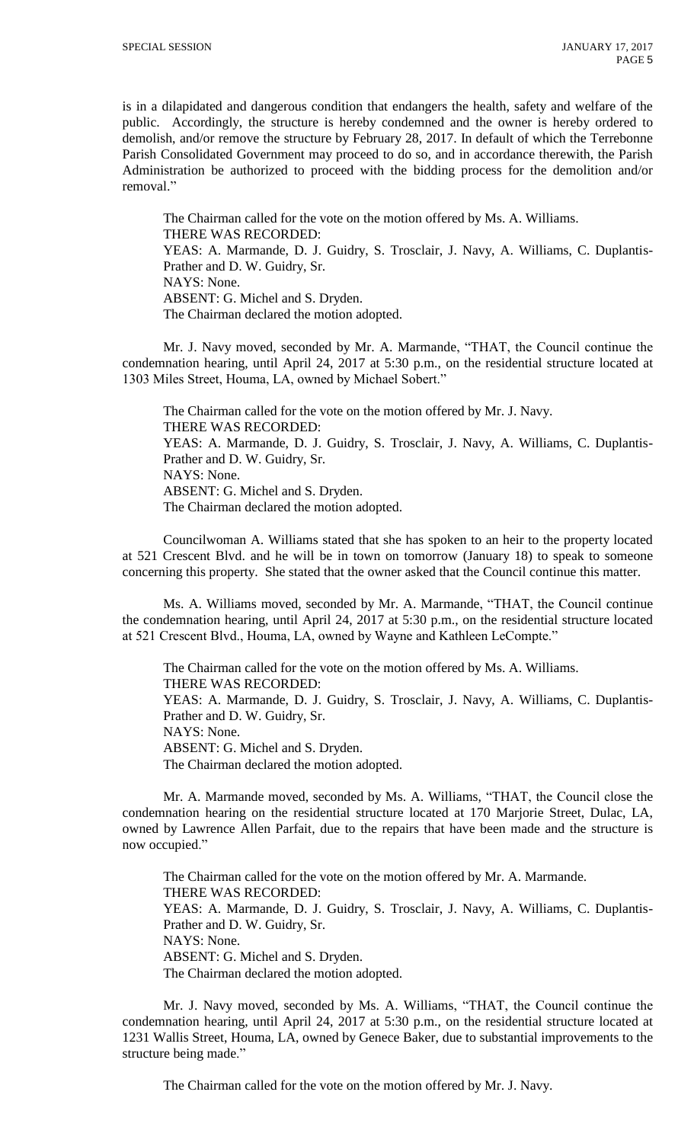is in a dilapidated and dangerous condition that endangers the health, safety and welfare of the public. Accordingly, the structure is hereby condemned and the owner is hereby ordered to demolish, and/or remove the structure by February 28, 2017. In default of which the Terrebonne Parish Consolidated Government may proceed to do so, and in accordance therewith, the Parish Administration be authorized to proceed with the bidding process for the demolition and/or removal."

The Chairman called for the vote on the motion offered by Ms. A. Williams. THERE WAS RECORDED: YEAS: A. Marmande, D. J. Guidry, S. Trosclair, J. Navy, A. Williams, C. Duplantis-Prather and D. W. Guidry, Sr. NAYS: None. ABSENT: G. Michel and S. Dryden. The Chairman declared the motion adopted.

Mr. J. Navy moved, seconded by Mr. A. Marmande, "THAT, the Council continue the condemnation hearing, until April 24, 2017 at 5:30 p.m., on the residential structure located at 1303 Miles Street, Houma, LA, owned by Michael Sobert."

The Chairman called for the vote on the motion offered by Mr. J. Navy. THERE WAS RECORDED: YEAS: A. Marmande, D. J. Guidry, S. Trosclair, J. Navy, A. Williams, C. Duplantis-Prather and D. W. Guidry, Sr. NAYS: None. ABSENT: G. Michel and S. Dryden. The Chairman declared the motion adopted.

Councilwoman A. Williams stated that she has spoken to an heir to the property located at 521 Crescent Blvd. and he will be in town on tomorrow (January 18) to speak to someone concerning this property. She stated that the owner asked that the Council continue this matter.

Ms. A. Williams moved, seconded by Mr. A. Marmande, "THAT, the Council continue the condemnation hearing, until April 24, 2017 at 5:30 p.m., on the residential structure located at 521 Crescent Blvd., Houma, LA, owned by Wayne and Kathleen LeCompte."

The Chairman called for the vote on the motion offered by Ms. A. Williams. THERE WAS RECORDED: YEAS: A. Marmande, D. J. Guidry, S. Trosclair, J. Navy, A. Williams, C. Duplantis-Prather and D. W. Guidry, Sr. NAYS: None. ABSENT: G. Michel and S. Dryden. The Chairman declared the motion adopted.

Mr. A. Marmande moved, seconded by Ms. A. Williams, "THAT, the Council close the condemnation hearing on the residential structure located at 170 Marjorie Street, Dulac, LA, owned by Lawrence Allen Parfait, due to the repairs that have been made and the structure is now occupied."

The Chairman called for the vote on the motion offered by Mr. A. Marmande. THERE WAS RECORDED: YEAS: A. Marmande, D. J. Guidry, S. Trosclair, J. Navy, A. Williams, C. Duplantis-Prather and D. W. Guidry, Sr. NAYS: None. ABSENT: G. Michel and S. Dryden. The Chairman declared the motion adopted.

Mr. J. Navy moved, seconded by Ms. A. Williams, "THAT, the Council continue the condemnation hearing, until April 24, 2017 at 5:30 p.m., on the residential structure located at 1231 Wallis Street, Houma, LA, owned by Genece Baker, due to substantial improvements to the structure being made."

The Chairman called for the vote on the motion offered by Mr. J. Navy.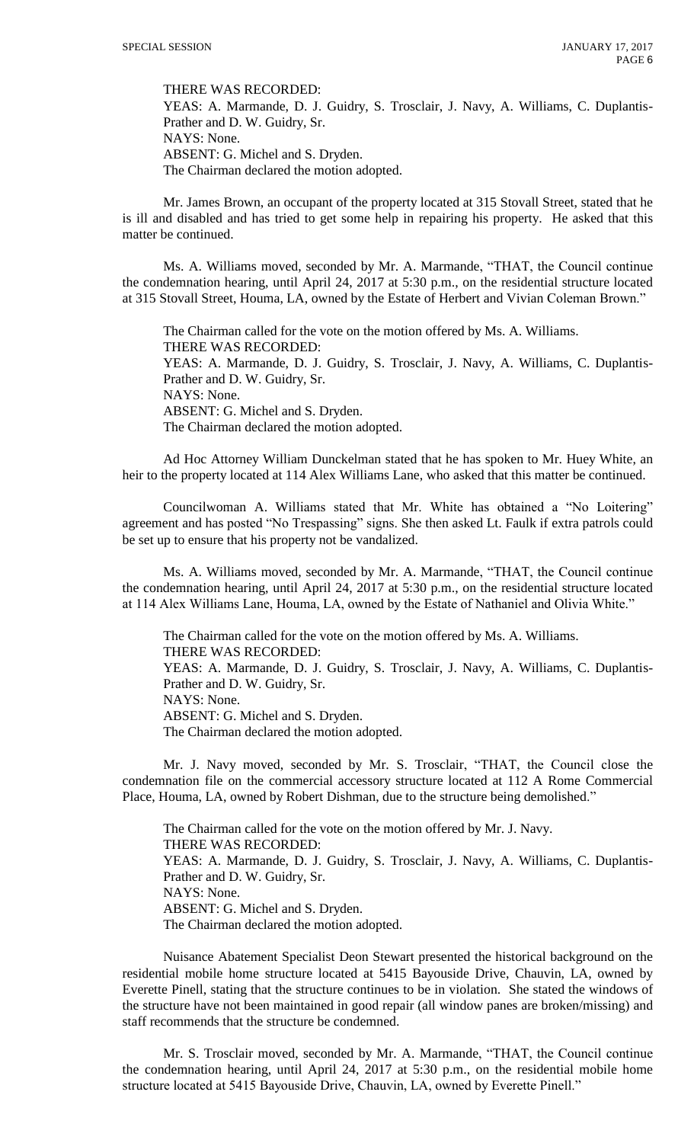THERE WAS RECORDED:

YEAS: A. Marmande, D. J. Guidry, S. Trosclair, J. Navy, A. Williams, C. Duplantis-Prather and D. W. Guidry, Sr. NAYS: None. ABSENT: G. Michel and S. Dryden.

The Chairman declared the motion adopted.

Mr. James Brown, an occupant of the property located at 315 Stovall Street, stated that he is ill and disabled and has tried to get some help in repairing his property. He asked that this matter be continued.

Ms. A. Williams moved, seconded by Mr. A. Marmande, "THAT, the Council continue the condemnation hearing, until April 24, 2017 at 5:30 p.m., on the residential structure located at 315 Stovall Street, Houma, LA, owned by the Estate of Herbert and Vivian Coleman Brown."

The Chairman called for the vote on the motion offered by Ms. A. Williams. THERE WAS RECORDED: YEAS: A. Marmande, D. J. Guidry, S. Trosclair, J. Navy, A. Williams, C. Duplantis-Prather and D. W. Guidry, Sr. NAYS: None. ABSENT: G. Michel and S. Dryden. The Chairman declared the motion adopted.

Ad Hoc Attorney William Dunckelman stated that he has spoken to Mr. Huey White, an heir to the property located at 114 Alex Williams Lane, who asked that this matter be continued.

Councilwoman A. Williams stated that Mr. White has obtained a "No Loitering" agreement and has posted "No Trespassing" signs. She then asked Lt. Faulk if extra patrols could be set up to ensure that his property not be vandalized.

Ms. A. Williams moved, seconded by Mr. A. Marmande, "THAT, the Council continue the condemnation hearing, until April 24, 2017 at 5:30 p.m., on the residential structure located at 114 Alex Williams Lane, Houma, LA, owned by the Estate of Nathaniel and Olivia White."

The Chairman called for the vote on the motion offered by Ms. A. Williams. THERE WAS RECORDED: YEAS: A. Marmande, D. J. Guidry, S. Trosclair, J. Navy, A. Williams, C. Duplantis-Prather and D. W. Guidry, Sr. NAYS: None. ABSENT: G. Michel and S. Dryden. The Chairman declared the motion adopted.

Mr. J. Navy moved, seconded by Mr. S. Trosclair, "THAT, the Council close the condemnation file on the commercial accessory structure located at 112 A Rome Commercial Place, Houma, LA, owned by Robert Dishman, due to the structure being demolished."

The Chairman called for the vote on the motion offered by Mr. J. Navy. THERE WAS RECORDED: YEAS: A. Marmande, D. J. Guidry, S. Trosclair, J. Navy, A. Williams, C. Duplantis-Prather and D. W. Guidry, Sr. NAYS: None. ABSENT: G. Michel and S. Dryden. The Chairman declared the motion adopted.

Nuisance Abatement Specialist Deon Stewart presented the historical background on the residential mobile home structure located at 5415 Bayouside Drive, Chauvin, LA, owned by Everette Pinell, stating that the structure continues to be in violation. She stated the windows of the structure have not been maintained in good repair (all window panes are broken/missing) and staff recommends that the structure be condemned.

Mr. S. Trosclair moved, seconded by Mr. A. Marmande, "THAT, the Council continue the condemnation hearing, until April 24, 2017 at 5:30 p.m., on the residential mobile home structure located at 5415 Bayouside Drive, Chauvin, LA, owned by Everette Pinell."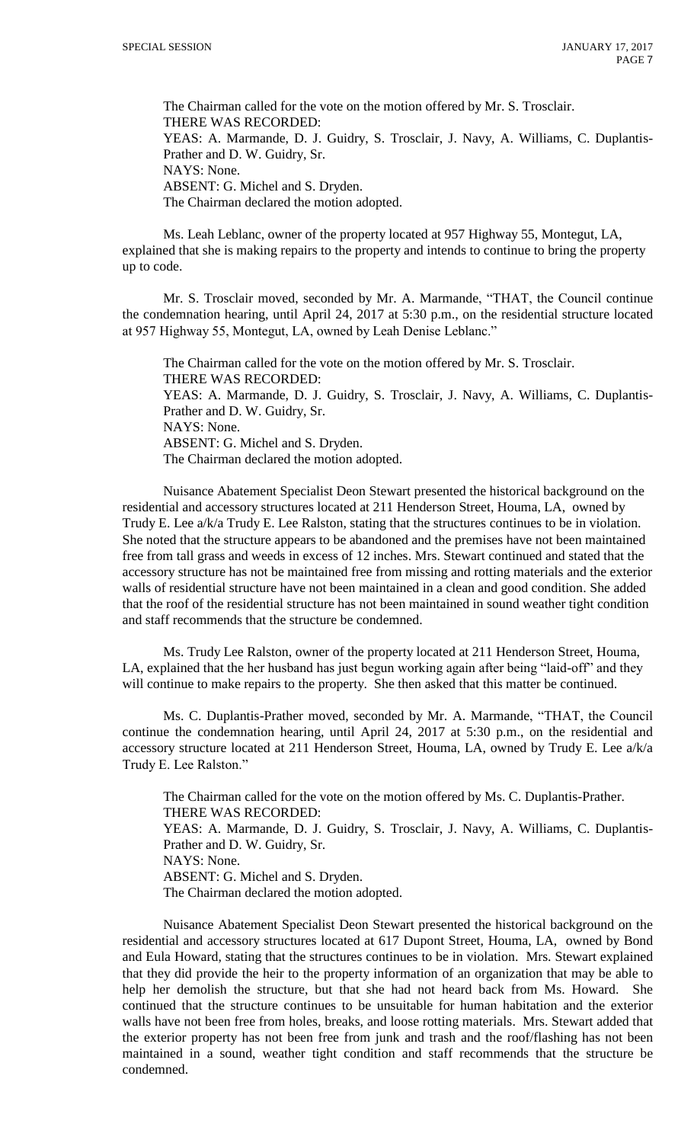The Chairman called for the vote on the motion offered by Mr. S. Trosclair. THERE WAS RECORDED: YEAS: A. Marmande, D. J. Guidry, S. Trosclair, J. Navy, A. Williams, C. Duplantis-Prather and D. W. Guidry, Sr. NAYS: None. ABSENT: G. Michel and S. Dryden. The Chairman declared the motion adopted.

Ms. Leah Leblanc, owner of the property located at 957 Highway 55, Montegut, LA, explained that she is making repairs to the property and intends to continue to bring the property up to code.

Mr. S. Trosclair moved, seconded by Mr. A. Marmande, "THAT, the Council continue the condemnation hearing, until April 24, 2017 at 5:30 p.m., on the residential structure located at 957 Highway 55, Montegut, LA, owned by Leah Denise Leblanc."

The Chairman called for the vote on the motion offered by Mr. S. Trosclair. THERE WAS RECORDED: YEAS: A. Marmande, D. J. Guidry, S. Trosclair, J. Navy, A. Williams, C. Duplantis-Prather and D. W. Guidry, Sr. NAYS: None. ABSENT: G. Michel and S. Dryden. The Chairman declared the motion adopted.

Nuisance Abatement Specialist Deon Stewart presented the historical background on the residential and accessory structures located at 211 Henderson Street, Houma, LA, owned by Trudy E. Lee a/k/a Trudy E. Lee Ralston, stating that the structures continues to be in violation. She noted that the structure appears to be abandoned and the premises have not been maintained free from tall grass and weeds in excess of 12 inches. Mrs. Stewart continued and stated that the accessory structure has not be maintained free from missing and rotting materials and the exterior walls of residential structure have not been maintained in a clean and good condition. She added that the roof of the residential structure has not been maintained in sound weather tight condition and staff recommends that the structure be condemned.

Ms. Trudy Lee Ralston, owner of the property located at 211 Henderson Street, Houma, LA, explained that the her husband has just begun working again after being "laid-off" and they will continue to make repairs to the property. She then asked that this matter be continued.

Ms. C. Duplantis-Prather moved, seconded by Mr. A. Marmande, "THAT, the Council continue the condemnation hearing, until April 24, 2017 at 5:30 p.m., on the residential and accessory structure located at 211 Henderson Street, Houma, LA, owned by Trudy E. Lee a/k/a Trudy E. Lee Ralston."

The Chairman called for the vote on the motion offered by Ms. C. Duplantis-Prather. THERE WAS RECORDED: YEAS: A. Marmande, D. J. Guidry, S. Trosclair, J. Navy, A. Williams, C. Duplantis-Prather and D. W. Guidry, Sr. NAYS: None. ABSENT: G. Michel and S. Dryden. The Chairman declared the motion adopted.

Nuisance Abatement Specialist Deon Stewart presented the historical background on the residential and accessory structures located at 617 Dupont Street, Houma, LA, owned by Bond and Eula Howard, stating that the structures continues to be in violation. Mrs. Stewart explained that they did provide the heir to the property information of an organization that may be able to help her demolish the structure, but that she had not heard back from Ms. Howard. She continued that the structure continues to be unsuitable for human habitation and the exterior walls have not been free from holes, breaks, and loose rotting materials. Mrs. Stewart added that the exterior property has not been free from junk and trash and the roof/flashing has not been maintained in a sound, weather tight condition and staff recommends that the structure be condemned.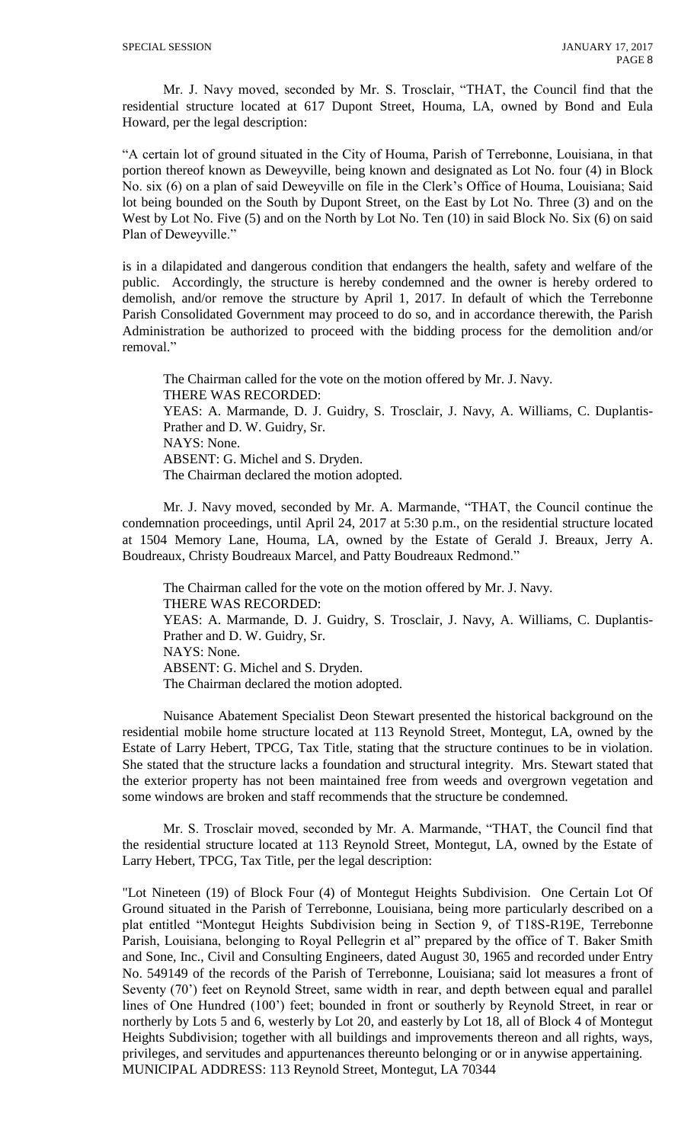Mr. J. Navy moved, seconded by Mr. S. Trosclair, "THAT, the Council find that the residential structure located at 617 Dupont Street, Houma, LA, owned by Bond and Eula Howard, per the legal description:

"A certain lot of ground situated in the City of Houma, Parish of Terrebonne, Louisiana, in that portion thereof known as Deweyville, being known and designated as Lot No. four (4) in Block No. six (6) on a plan of said Deweyville on file in the Clerk's Office of Houma, Louisiana; Said lot being bounded on the South by Dupont Street, on the East by Lot No. Three (3) and on the West by Lot No. Five (5) and on the North by Lot No. Ten (10) in said Block No. Six (6) on said Plan of Deweyville."

is in a dilapidated and dangerous condition that endangers the health, safety and welfare of the public. Accordingly, the structure is hereby condemned and the owner is hereby ordered to demolish, and/or remove the structure by April 1, 2017. In default of which the Terrebonne Parish Consolidated Government may proceed to do so, and in accordance therewith, the Parish Administration be authorized to proceed with the bidding process for the demolition and/or removal."

The Chairman called for the vote on the motion offered by Mr. J. Navy. THERE WAS RECORDED: YEAS: A. Marmande, D. J. Guidry, S. Trosclair, J. Navy, A. Williams, C. Duplantis-Prather and D. W. Guidry, Sr. NAYS: None. ABSENT: G. Michel and S. Dryden. The Chairman declared the motion adopted.

Mr. J. Navy moved, seconded by Mr. A. Marmande, "THAT, the Council continue the condemnation proceedings, until April 24, 2017 at 5:30 p.m., on the residential structure located at 1504 Memory Lane, Houma, LA, owned by the Estate of Gerald J. Breaux, Jerry A. Boudreaux, Christy Boudreaux Marcel, and Patty Boudreaux Redmond."

The Chairman called for the vote on the motion offered by Mr. J. Navy. THERE WAS RECORDED: YEAS: A. Marmande, D. J. Guidry, S. Trosclair, J. Navy, A. Williams, C. Duplantis-Prather and D. W. Guidry, Sr. NAYS: None. ABSENT: G. Michel and S. Dryden. The Chairman declared the motion adopted.

Nuisance Abatement Specialist Deon Stewart presented the historical background on the residential mobile home structure located at 113 Reynold Street, Montegut, LA, owned by the Estate of Larry Hebert, TPCG, Tax Title, stating that the structure continues to be in violation. She stated that the structure lacks a foundation and structural integrity. Mrs. Stewart stated that the exterior property has not been maintained free from weeds and overgrown vegetation and some windows are broken and staff recommends that the structure be condemned.

Mr. S. Trosclair moved, seconded by Mr. A. Marmande, "THAT, the Council find that the residential structure located at 113 Reynold Street, Montegut, LA, owned by the Estate of Larry Hebert, TPCG, Tax Title, per the legal description:

"Lot Nineteen (19) of Block Four (4) of Montegut Heights Subdivision. One Certain Lot Of Ground situated in the Parish of Terrebonne, Louisiana, being more particularly described on a plat entitled "Montegut Heights Subdivision being in Section 9, of T18S-R19E, Terrebonne Parish, Louisiana, belonging to Royal Pellegrin et al" prepared by the office of T. Baker Smith and Sone, Inc., Civil and Consulting Engineers, dated August 30, 1965 and recorded under Entry No. 549149 of the records of the Parish of Terrebonne, Louisiana; said lot measures a front of Seventy (70') feet on Reynold Street, same width in rear, and depth between equal and parallel lines of One Hundred (100') feet; bounded in front or southerly by Reynold Street, in rear or northerly by Lots 5 and 6, westerly by Lot 20, and easterly by Lot 18, all of Block 4 of Montegut Heights Subdivision; together with all buildings and improvements thereon and all rights, ways, privileges, and servitudes and appurtenances thereunto belonging or or in anywise appertaining. MUNICIPAL ADDRESS: 113 Reynold Street, Montegut, LA 70344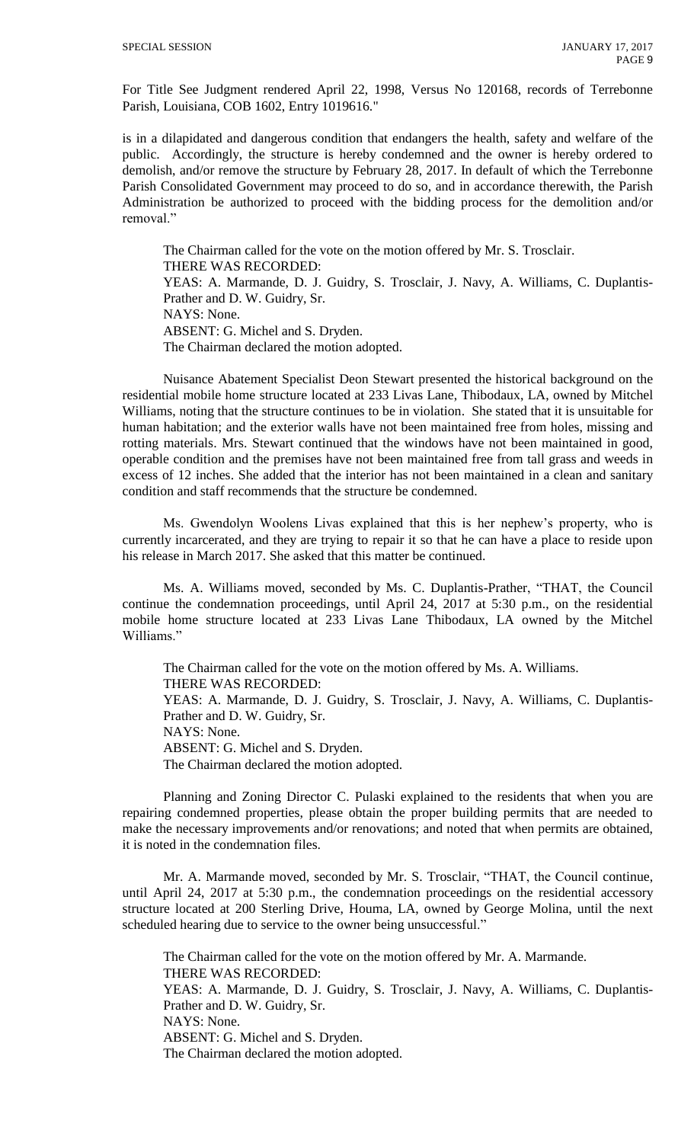For Title See Judgment rendered April 22, 1998, Versus No 120168, records of Terrebonne Parish, Louisiana, COB 1602, Entry 1019616."

is in a dilapidated and dangerous condition that endangers the health, safety and welfare of the public. Accordingly, the structure is hereby condemned and the owner is hereby ordered to demolish, and/or remove the structure by February 28, 2017. In default of which the Terrebonne Parish Consolidated Government may proceed to do so, and in accordance therewith, the Parish Administration be authorized to proceed with the bidding process for the demolition and/or removal."

The Chairman called for the vote on the motion offered by Mr. S. Trosclair. THERE WAS RECORDED: YEAS: A. Marmande, D. J. Guidry, S. Trosclair, J. Navy, A. Williams, C. Duplantis-Prather and D. W. Guidry, Sr. NAYS: None. ABSENT: G. Michel and S. Dryden. The Chairman declared the motion adopted.

Nuisance Abatement Specialist Deon Stewart presented the historical background on the residential mobile home structure located at 233 Livas Lane, Thibodaux, LA, owned by Mitchel Williams, noting that the structure continues to be in violation. She stated that it is unsuitable for human habitation; and the exterior walls have not been maintained free from holes, missing and rotting materials. Mrs. Stewart continued that the windows have not been maintained in good, operable condition and the premises have not been maintained free from tall grass and weeds in excess of 12 inches. She added that the interior has not been maintained in a clean and sanitary condition and staff recommends that the structure be condemned.

Ms. Gwendolyn Woolens Livas explained that this is her nephew's property, who is currently incarcerated, and they are trying to repair it so that he can have a place to reside upon his release in March 2017. She asked that this matter be continued.

Ms. A. Williams moved, seconded by Ms. C. Duplantis-Prather, "THAT, the Council continue the condemnation proceedings, until April 24, 2017 at 5:30 p.m., on the residential mobile home structure located at 233 Livas Lane Thibodaux, LA owned by the Mitchel Williams."

The Chairman called for the vote on the motion offered by Ms. A. Williams. THERE WAS RECORDED: YEAS: A. Marmande, D. J. Guidry, S. Trosclair, J. Navy, A. Williams, C. Duplantis-Prather and D. W. Guidry, Sr. NAYS: None. ABSENT: G. Michel and S. Dryden. The Chairman declared the motion adopted.

Planning and Zoning Director C. Pulaski explained to the residents that when you are repairing condemned properties, please obtain the proper building permits that are needed to make the necessary improvements and/or renovations; and noted that when permits are obtained, it is noted in the condemnation files.

Mr. A. Marmande moved, seconded by Mr. S. Trosclair, "THAT, the Council continue, until April 24, 2017 at 5:30 p.m., the condemnation proceedings on the residential accessory structure located at 200 Sterling Drive, Houma, LA, owned by George Molina, until the next scheduled hearing due to service to the owner being unsuccessful."

The Chairman called for the vote on the motion offered by Mr. A. Marmande. THERE WAS RECORDED: YEAS: A. Marmande, D. J. Guidry, S. Trosclair, J. Navy, A. Williams, C. Duplantis-Prather and D. W. Guidry, Sr. NAYS: None. ABSENT: G. Michel and S. Dryden. The Chairman declared the motion adopted.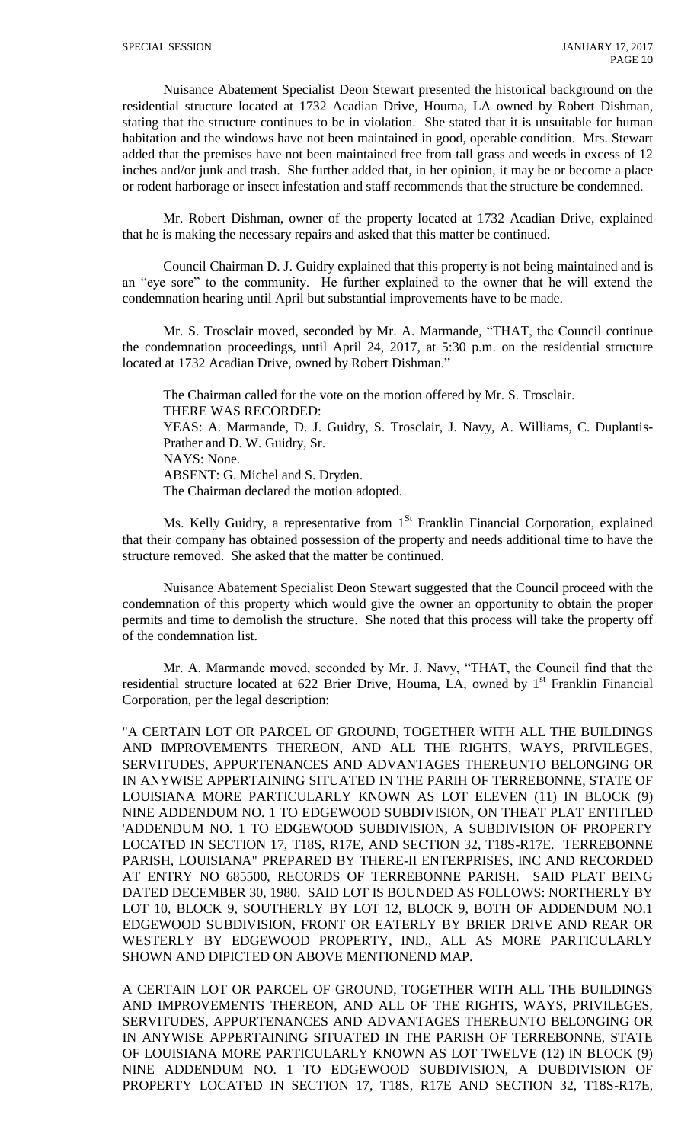Nuisance Abatement Specialist Deon Stewart presented the historical background on the residential structure located at 1732 Acadian Drive, Houma, LA owned by Robert Dishman, stating that the structure continues to be in violation. She stated that it is unsuitable for human habitation and the windows have not been maintained in good, operable condition. Mrs. Stewart added that the premises have not been maintained free from tall grass and weeds in excess of 12 inches and/or junk and trash. She further added that, in her opinion, it may be or become a place or rodent harborage or insect infestation and staff recommends that the structure be condemned.

Mr. Robert Dishman, owner of the property located at 1732 Acadian Drive, explained that he is making the necessary repairs and asked that this matter be continued.

Council Chairman D. J. Guidry explained that this property is not being maintained and is an "eye sore" to the community. He further explained to the owner that he will extend the condemnation hearing until April but substantial improvements have to be made.

Mr. S. Trosclair moved, seconded by Mr. A. Marmande, "THAT, the Council continue the condemnation proceedings, until April 24, 2017, at 5:30 p.m. on the residential structure located at 1732 Acadian Drive, owned by Robert Dishman."

The Chairman called for the vote on the motion offered by Mr. S. Trosclair. THERE WAS RECORDED: YEAS: A. Marmande, D. J. Guidry, S. Trosclair, J. Navy, A. Williams, C. Duplantis-Prather and D. W. Guidry, Sr. NAYS: None. ABSENT: G. Michel and S. Dryden. The Chairman declared the motion adopted.

Ms. Kelly Guidry, a representative from  $1<sup>St</sup>$  Franklin Financial Corporation, explained that their company has obtained possession of the property and needs additional time to have the structure removed. She asked that the matter be continued.

Nuisance Abatement Specialist Deon Stewart suggested that the Council proceed with the condemnation of this property which would give the owner an opportunity to obtain the proper permits and time to demolish the structure. She noted that this process will take the property off of the condemnation list.

Mr. A. Marmande moved, seconded by Mr. J. Navy, "THAT, the Council find that the residential structure located at 622 Brier Drive, Houma, LA, owned by 1<sup>st</sup> Franklin Financial Corporation, per the legal description:

"A CERTAIN LOT OR PARCEL OF GROUND, TOGETHER WITH ALL THE BUILDINGS AND IMPROVEMENTS THEREON, AND ALL THE RIGHTS, WAYS, PRIVILEGES, SERVITUDES, APPURTENANCES AND ADVANTAGES THEREUNTO BELONGING OR IN ANYWISE APPERTAINING SITUATED IN THE PARIH OF TERREBONNE, STATE OF LOUISIANA MORE PARTICULARLY KNOWN AS LOT ELEVEN (11) IN BLOCK (9) NINE ADDENDUM NO. 1 TO EDGEWOOD SUBDIVISION, ON THEAT PLAT ENTITLED 'ADDENDUM NO. 1 TO EDGEWOOD SUBDIVISION, A SUBDIVISION OF PROPERTY LOCATED IN SECTION 17, T18S, R17E, AND SECTION 32, T18S-R17E. TERREBONNE PARISH, LOUISIANA" PREPARED BY THERE-II ENTERPRISES, INC AND RECORDED AT ENTRY NO 685500, RECORDS OF TERREBONNE PARISH. SAID PLAT BEING DATED DECEMBER 30, 1980. SAID LOT IS BOUNDED AS FOLLOWS: NORTHERLY BY LOT 10, BLOCK 9, SOUTHERLY BY LOT 12, BLOCK 9, BOTH OF ADDENDUM NO.1 EDGEWOOD SUBDIVISION, FRONT OR EATERLY BY BRIER DRIVE AND REAR OR WESTERLY BY EDGEWOOD PROPERTY, IND., ALL AS MORE PARTICULARLY SHOWN AND DIPICTED ON ABOVE MENTIONEND MAP.

A CERTAIN LOT OR PARCEL OF GROUND, TOGETHER WITH ALL THE BUILDINGS AND IMPROVEMENTS THEREON, AND ALL OF THE RIGHTS, WAYS, PRIVILEGES, SERVITUDES, APPURTENANCES AND ADVANTAGES THEREUNTO BELONGING OR IN ANYWISE APPERTAINING SITUATED IN THE PARISH OF TERREBONNE, STATE OF LOUISIANA MORE PARTICULARLY KNOWN AS LOT TWELVE (12) IN BLOCK (9) NINE ADDENDUM NO. 1 TO EDGEWOOD SUBDIVISION, A DUBDIVISION OF PROPERTY LOCATED IN SECTION 17, T18S, R17E AND SECTION 32, T18S-R17E,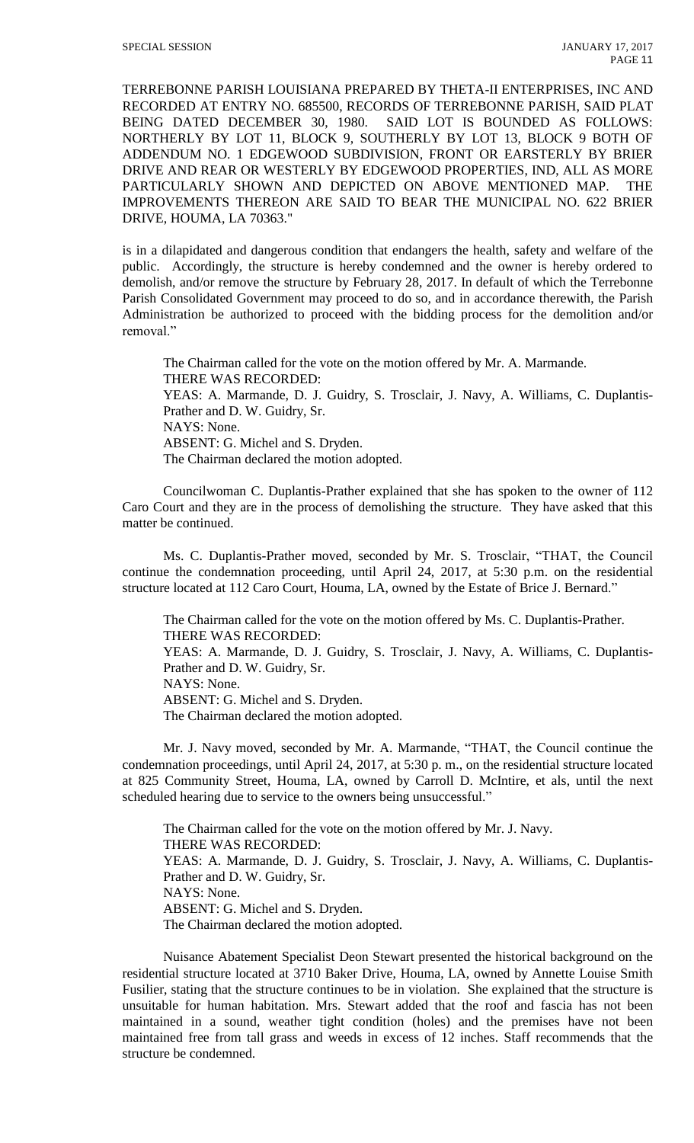TERREBONNE PARISH LOUISIANA PREPARED BY THETA-II ENTERPRISES, INC AND RECORDED AT ENTRY NO. 685500, RECORDS OF TERREBONNE PARISH, SAID PLAT BEING DATED DECEMBER 30, 1980. SAID LOT IS BOUNDED AS FOLLOWS: NORTHERLY BY LOT 11, BLOCK 9, SOUTHERLY BY LOT 13, BLOCK 9 BOTH OF ADDENDUM NO. 1 EDGEWOOD SUBDIVISION, FRONT OR EARSTERLY BY BRIER DRIVE AND REAR OR WESTERLY BY EDGEWOOD PROPERTIES, IND, ALL AS MORE PARTICULARLY SHOWN AND DEPICTED ON ABOVE MENTIONED MAP. THE IMPROVEMENTS THEREON ARE SAID TO BEAR THE MUNICIPAL NO. 622 BRIER DRIVE, HOUMA, LA 70363."

is in a dilapidated and dangerous condition that endangers the health, safety and welfare of the public. Accordingly, the structure is hereby condemned and the owner is hereby ordered to demolish, and/or remove the structure by February 28, 2017. In default of which the Terrebonne Parish Consolidated Government may proceed to do so, and in accordance therewith, the Parish Administration be authorized to proceed with the bidding process for the demolition and/or removal."

The Chairman called for the vote on the motion offered by Mr. A. Marmande. THERE WAS RECORDED: YEAS: A. Marmande, D. J. Guidry, S. Trosclair, J. Navy, A. Williams, C. Duplantis-Prather and D. W. Guidry, Sr. NAYS: None. ABSENT: G. Michel and S. Dryden. The Chairman declared the motion adopted.

Councilwoman C. Duplantis-Prather explained that she has spoken to the owner of 112 Caro Court and they are in the process of demolishing the structure. They have asked that this matter be continued.

Ms. C. Duplantis-Prather moved, seconded by Mr. S. Trosclair, "THAT, the Council continue the condemnation proceeding, until April 24, 2017, at 5:30 p.m. on the residential structure located at 112 Caro Court, Houma, LA, owned by the Estate of Brice J. Bernard."

The Chairman called for the vote on the motion offered by Ms. C. Duplantis-Prather. THERE WAS RECORDED: YEAS: A. Marmande, D. J. Guidry, S. Trosclair, J. Navy, A. Williams, C. Duplantis-Prather and D. W. Guidry, Sr. NAYS: None. ABSENT: G. Michel and S. Dryden. The Chairman declared the motion adopted.

Mr. J. Navy moved, seconded by Mr. A. Marmande, "THAT, the Council continue the condemnation proceedings, until April 24, 2017, at 5:30 p. m., on the residential structure located at 825 Community Street, Houma, LA, owned by Carroll D. McIntire, et als, until the next scheduled hearing due to service to the owners being unsuccessful."

The Chairman called for the vote on the motion offered by Mr. J. Navy. THERE WAS RECORDED: YEAS: A. Marmande, D. J. Guidry, S. Trosclair, J. Navy, A. Williams, C. Duplantis-Prather and D. W. Guidry, Sr. NAYS: None. ABSENT: G. Michel and S. Dryden. The Chairman declared the motion adopted.

Nuisance Abatement Specialist Deon Stewart presented the historical background on the residential structure located at 3710 Baker Drive, Houma, LA, owned by Annette Louise Smith Fusilier, stating that the structure continues to be in violation. She explained that the structure is unsuitable for human habitation. Mrs. Stewart added that the roof and fascia has not been maintained in a sound, weather tight condition (holes) and the premises have not been maintained free from tall grass and weeds in excess of 12 inches. Staff recommends that the structure be condemned.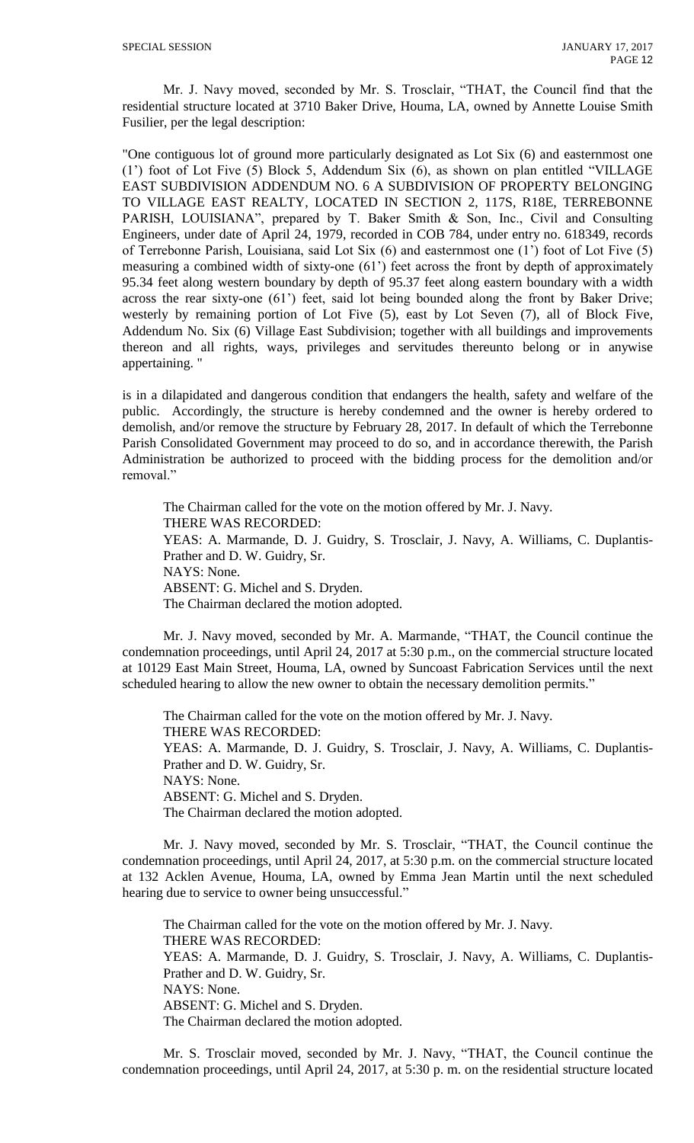Mr. J. Navy moved, seconded by Mr. S. Trosclair, "THAT, the Council find that the residential structure located at 3710 Baker Drive, Houma, LA, owned by Annette Louise Smith Fusilier, per the legal description:

"One contiguous lot of ground more particularly designated as Lot Six (6) and easternmost one (1') foot of Lot Five (5) Block 5, Addendum Six (6), as shown on plan entitled "VILLAGE EAST SUBDIVISION ADDENDUM NO. 6 A SUBDIVISION OF PROPERTY BELONGING TO VILLAGE EAST REALTY, LOCATED IN SECTION 2, 117S, R18E, TERREBONNE PARISH, LOUISIANA", prepared by T. Baker Smith & Son, Inc., Civil and Consulting Engineers, under date of April 24, 1979, recorded in COB 784, under entry no. 618349, records of Terrebonne Parish, Louisiana, said Lot Six (6) and easternmost one (1') foot of Lot Five (5) measuring a combined width of sixty-one (61') feet across the front by depth of approximately 95.34 feet along western boundary by depth of 95.37 feet along eastern boundary with a width across the rear sixty-one (61') feet, said lot being bounded along the front by Baker Drive; westerly by remaining portion of Lot Five (5), east by Lot Seven (7), all of Block Five, Addendum No. Six (6) Village East Subdivision; together with all buildings and improvements thereon and all rights, ways, privileges and servitudes thereunto belong or in anywise appertaining. "

is in a dilapidated and dangerous condition that endangers the health, safety and welfare of the public. Accordingly, the structure is hereby condemned and the owner is hereby ordered to demolish, and/or remove the structure by February 28, 2017. In default of which the Terrebonne Parish Consolidated Government may proceed to do so, and in accordance therewith, the Parish Administration be authorized to proceed with the bidding process for the demolition and/or removal."

The Chairman called for the vote on the motion offered by Mr. J. Navy. THERE WAS RECORDED: YEAS: A. Marmande, D. J. Guidry, S. Trosclair, J. Navy, A. Williams, C. Duplantis-Prather and D. W. Guidry, Sr. NAYS: None. ABSENT: G. Michel and S. Dryden. The Chairman declared the motion adopted.

Mr. J. Navy moved, seconded by Mr. A. Marmande, "THAT, the Council continue the condemnation proceedings, until April 24, 2017 at 5:30 p.m., on the commercial structure located at 10129 East Main Street, Houma, LA, owned by Suncoast Fabrication Services until the next scheduled hearing to allow the new owner to obtain the necessary demolition permits."

The Chairman called for the vote on the motion offered by Mr. J. Navy. THERE WAS RECORDED: YEAS: A. Marmande, D. J. Guidry, S. Trosclair, J. Navy, A. Williams, C. Duplantis-Prather and D. W. Guidry, Sr. NAYS: None. ABSENT: G. Michel and S. Dryden. The Chairman declared the motion adopted.

Mr. J. Navy moved, seconded by Mr. S. Trosclair, "THAT, the Council continue the condemnation proceedings, until April 24, 2017, at 5:30 p.m. on the commercial structure located at 132 Acklen Avenue, Houma, LA, owned by Emma Jean Martin until the next scheduled hearing due to service to owner being unsuccessful."

The Chairman called for the vote on the motion offered by Mr. J. Navy. THERE WAS RECORDED: YEAS: A. Marmande, D. J. Guidry, S. Trosclair, J. Navy, A. Williams, C. Duplantis-Prather and D. W. Guidry, Sr. NAYS: None. ABSENT: G. Michel and S. Dryden. The Chairman declared the motion adopted.

Mr. S. Trosclair moved, seconded by Mr. J. Navy, "THAT, the Council continue the condemnation proceedings, until April 24, 2017, at 5:30 p. m. on the residential structure located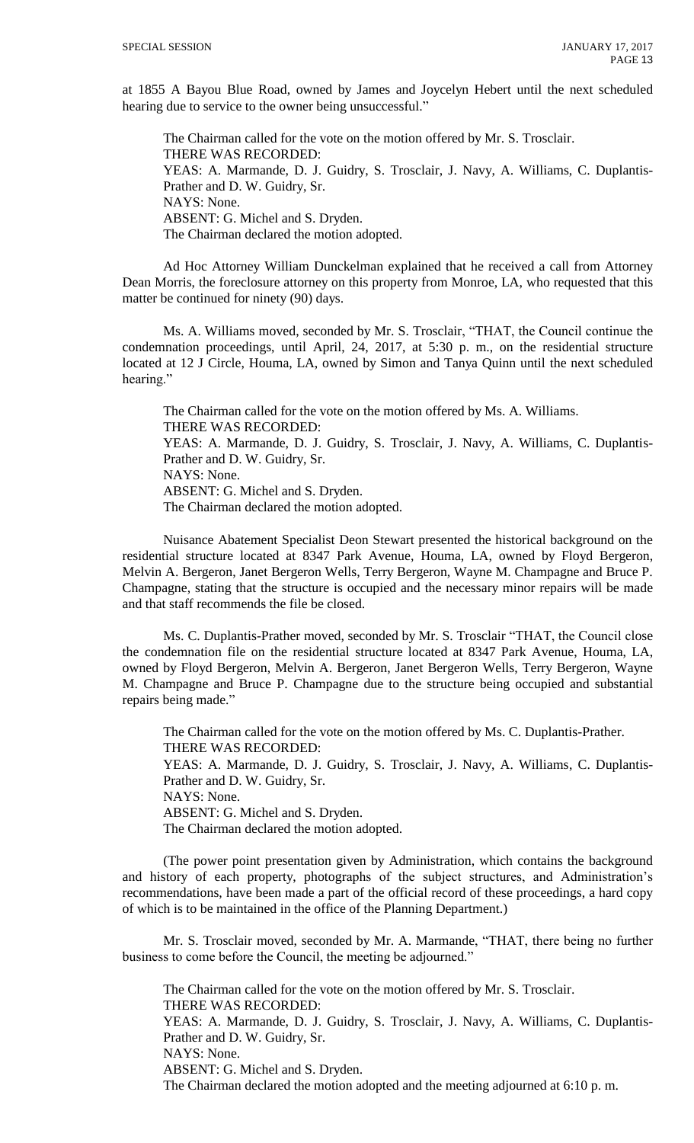at 1855 A Bayou Blue Road, owned by James and Joycelyn Hebert until the next scheduled hearing due to service to the owner being unsuccessful."

The Chairman called for the vote on the motion offered by Mr. S. Trosclair. THERE WAS RECORDED: YEAS: A. Marmande, D. J. Guidry, S. Trosclair, J. Navy, A. Williams, C. Duplantis-Prather and D. W. Guidry, Sr. NAYS: None. ABSENT: G. Michel and S. Dryden. The Chairman declared the motion adopted.

Ad Hoc Attorney William Dunckelman explained that he received a call from Attorney Dean Morris, the foreclosure attorney on this property from Monroe, LA, who requested that this matter be continued for ninety (90) days.

Ms. A. Williams moved, seconded by Mr. S. Trosclair, "THAT, the Council continue the condemnation proceedings, until April, 24, 2017, at 5:30 p. m., on the residential structure located at 12 J Circle, Houma, LA, owned by Simon and Tanya Quinn until the next scheduled hearing."

The Chairman called for the vote on the motion offered by Ms. A. Williams. THERE WAS RECORDED: YEAS: A. Marmande, D. J. Guidry, S. Trosclair, J. Navy, A. Williams, C. Duplantis-Prather and D. W. Guidry, Sr. NAYS: None. ABSENT: G. Michel and S. Dryden. The Chairman declared the motion adopted.

Nuisance Abatement Specialist Deon Stewart presented the historical background on the residential structure located at 8347 Park Avenue, Houma, LA, owned by Floyd Bergeron, Melvin A. Bergeron, Janet Bergeron Wells, Terry Bergeron, Wayne M. Champagne and Bruce P. Champagne, stating that the structure is occupied and the necessary minor repairs will be made and that staff recommends the file be closed.

Ms. C. Duplantis-Prather moved, seconded by Mr. S. Trosclair "THAT, the Council close the condemnation file on the residential structure located at 8347 Park Avenue, Houma, LA, owned by Floyd Bergeron, Melvin A. Bergeron, Janet Bergeron Wells, Terry Bergeron, Wayne M. Champagne and Bruce P. Champagne due to the structure being occupied and substantial repairs being made."

The Chairman called for the vote on the motion offered by Ms. C. Duplantis-Prather. THERE WAS RECORDED: YEAS: A. Marmande, D. J. Guidry, S. Trosclair, J. Navy, A. Williams, C. Duplantis-Prather and D. W. Guidry, Sr. NAYS: None. ABSENT: G. Michel and S. Dryden. The Chairman declared the motion adopted.

(The power point presentation given by Administration, which contains the background and history of each property, photographs of the subject structures, and Administration's recommendations, have been made a part of the official record of these proceedings, a hard copy of which is to be maintained in the office of the Planning Department.)

Mr. S. Trosclair moved, seconded by Mr. A. Marmande, "THAT, there being no further business to come before the Council, the meeting be adjourned."

The Chairman called for the vote on the motion offered by Mr. S. Trosclair. THERE WAS RECORDED: YEAS: A. Marmande, D. J. Guidry, S. Trosclair, J. Navy, A. Williams, C. Duplantis-Prather and D. W. Guidry, Sr. NAYS: None. ABSENT: G. Michel and S. Dryden. The Chairman declared the motion adopted and the meeting adjourned at 6:10 p. m.